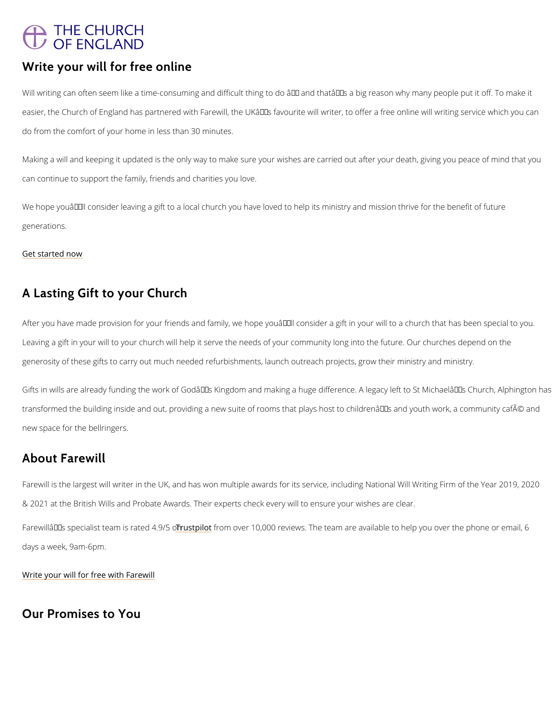# **THE CHURCH** OF ENGLAND

#### Write your will for free online

Will writing can often seem like a time-consuming and difficult thing to do â $\epsilon^*$  and thatâ $\epsilon^{\intercal m}$ s easier, the Church of England has partnered with Farewill, the UK  $\hat{\mathbf{a}} \in \mathbb{M}$ s favourite will writer, do from the comfort of your home in less than 30 minutes.

Making a will and keeping it updated is the only way to make sure your wishes are carried ou can continue to support the family, friends and charities you love.

We hope you  $\hat{a} \in \mathbb{M}$  Il consider leaving a gift to a local church you have loved to help its minist generations.

[Get starte](https://farewill.com/cofe)d now

Gifts in wills are already funding the work of God's Kingdom and making a huge differenc transformed the building inside and out, providing a new suite of rooms that plays host to ch new space for the bellringers.

#### A Lasting Gift to your Church

After you have made provision for your friends and family, we hope youâ $\in$  MII consider a gift Leaving a gift in your will to your church will help it serve the needs of your community long generosity of these gifts to carry out much needed refurbishments, launch outreach projects,

## About Farewill

Farewill is the largest will writer in the UK, and has won multiple awards for its service, incl & 2021 at the British Wills and Probate Awards. Their experts check every will to ensure you

Farewillâ $\epsilon$ <sup>TM</sup>s specialist te<mark>aTmuisst priaf tone on 40.065 to</mark>m, 000 reviews. The team are available to help y

days a week, 9am-6pm.

[Write your will for free](https://farewill.com/cofe) with Farewill

### Our Promises to You